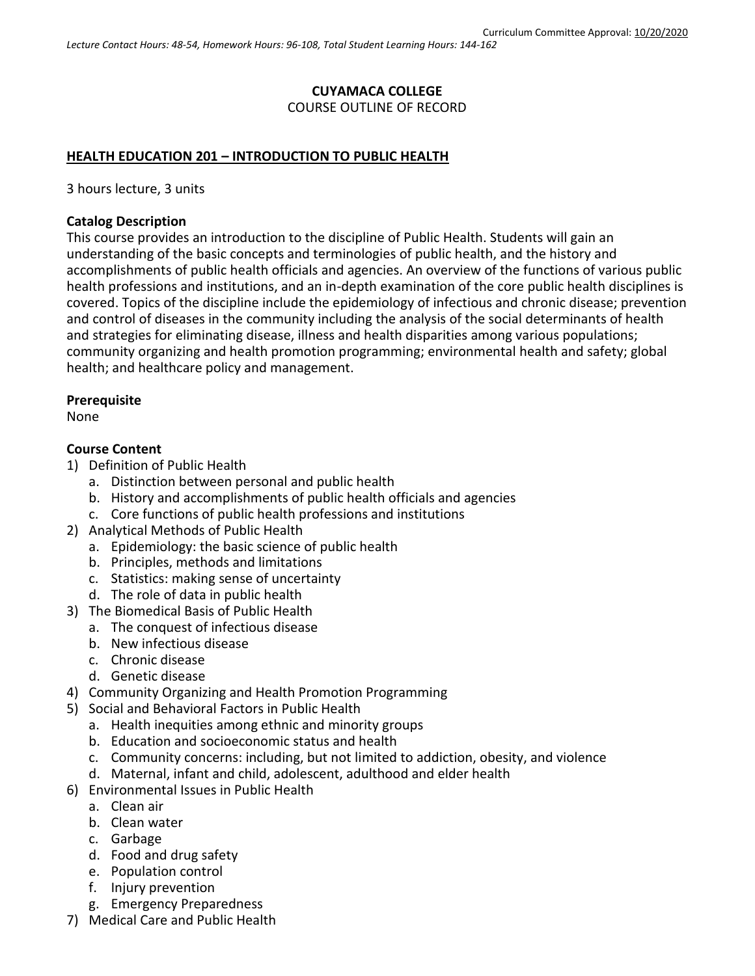## **CUYAMACA COLLEGE** COURSE OUTLINE OF RECORD

### **HEALTH EDUCATION 201 – INTRODUCTION TO PUBLIC HEALTH**

3 hours lecture, 3 units

#### **Catalog Description**

This course provides an introduction to the discipline of Public Health. Students will gain an understanding of the basic concepts and terminologies of public health, and the history and accomplishments of public health officials and agencies. An overview of the functions of various public health professions and institutions, and an in-depth examination of the core public health disciplines is covered. Topics of the discipline include the epidemiology of infectious and chronic disease; prevention and control of diseases in the community including the analysis of the social determinants of health and strategies for eliminating disease, illness and health disparities among various populations; community organizing and health promotion programming; environmental health and safety; global health; and healthcare policy and management.

### **Prerequisite**

None

#### **Course Content**

- 1) Definition of Public Health
	- a. Distinction between personal and public health
	- b. History and accomplishments of public health officials and agencies
	- c. Core functions of public health professions and institutions
- 2) Analytical Methods of Public Health
	- a. Epidemiology: the basic science of public health
	- b. Principles, methods and limitations
	- c. Statistics: making sense of uncertainty
	- d. The role of data in public health
- 3) The Biomedical Basis of Public Health
	- a. The conquest of infectious disease
	- b. New infectious disease
	- c. Chronic disease
	- d. Genetic disease
- 4) Community Organizing and Health Promotion Programming
- 5) Social and Behavioral Factors in Public Health
	- a. Health inequities among ethnic and minority groups
	- b. Education and socioeconomic status and health
	- c. Community concerns: including, but not limited to addiction, obesity, and violence
	- d. Maternal, infant and child, adolescent, adulthood and elder health
- 6) Environmental Issues in Public Health
	- a. Clean air
		- b. Clean water
		- c. Garbage
		- d. Food and drug safety
		- e. Population control
		- f. Injury prevention
	- g. Emergency Preparedness
- 7) Medical Care and Public Health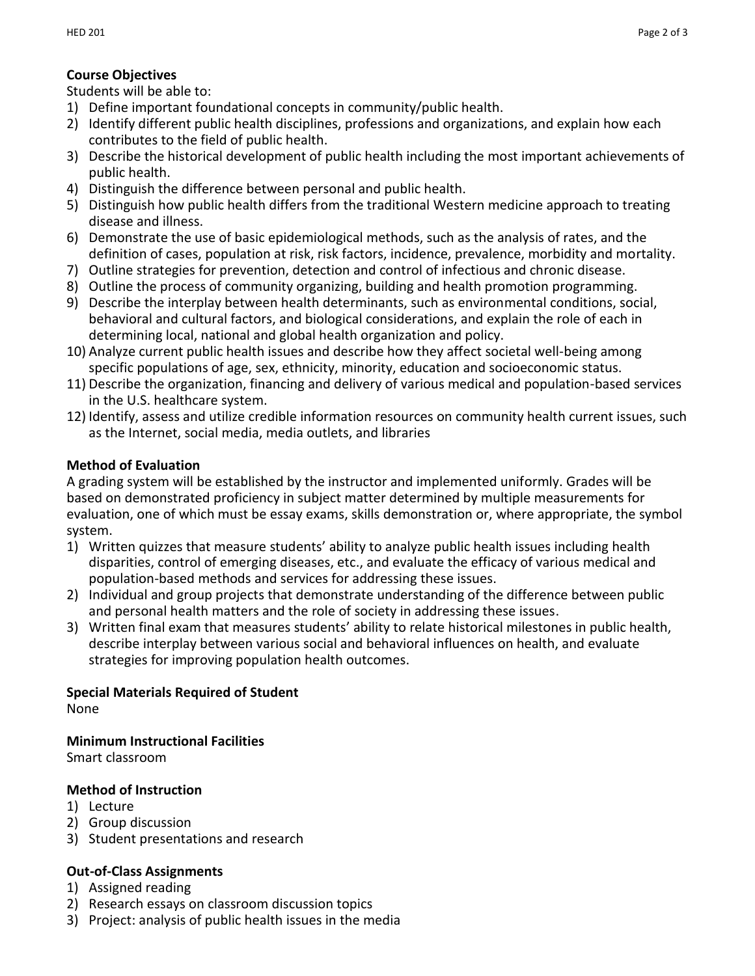## **Course Objectives**

Students will be able to:

- 1) Define important foundational concepts in community/public health.
- 2) Identify different public health disciplines, professions and organizations, and explain how each contributes to the field of public health.
- 3) Describe the historical development of public health including the most important achievements of public health.
- 4) Distinguish the difference between personal and public health.
- 5) Distinguish how public health differs from the traditional Western medicine approach to treating disease and illness.
- 6) Demonstrate the use of basic epidemiological methods, such as the analysis of rates, and the definition of cases, population at risk, risk factors, incidence, prevalence, morbidity and mortality.
- 7) Outline strategies for prevention, detection and control of infectious and chronic disease.
- 8) Outline the process of community organizing, building and health promotion programming.
- 9) Describe the interplay between health determinants, such as environmental conditions, social, behavioral and cultural factors, and biological considerations, and explain the role of each in determining local, national and global health organization and policy.
- 10) Analyze current public health issues and describe how they affect societal well-being among specific populations of age, sex, ethnicity, minority, education and socioeconomic status.
- 11) Describe the organization, financing and delivery of various medical and population-based services in the U.S. healthcare system.
- 12) Identify, assess and utilize credible information resources on community health current issues, such as the Internet, social media, media outlets, and libraries

# **Method of Evaluation**

A grading system will be established by the instructor and implemented uniformly. Grades will be based on demonstrated proficiency in subject matter determined by multiple measurements for evaluation, one of which must be essay exams, skills demonstration or, where appropriate, the symbol system.

- 1) Written quizzes that measure students' ability to analyze public health issues including health disparities, control of emerging diseases, etc., and evaluate the efficacy of various medical and population-based methods and services for addressing these issues.
- 2) Individual and group projects that demonstrate understanding of the difference between public and personal health matters and the role of society in addressing these issues.
- 3) Written final exam that measures students' ability to relate historical milestones in public health, describe interplay between various social and behavioral influences on health, and evaluate strategies for improving population health outcomes.

## **Special Materials Required of Student**

None

**Minimum Instructional Facilities**

Smart classroom

# **Method of Instruction**

- 1) Lecture
- 2) Group discussion
- 3) Student presentations and research

# **Out-of-Class Assignments**

- 1) Assigned reading
- 2) Research essays on classroom discussion topics
- 3) Project: analysis of public health issues in the media